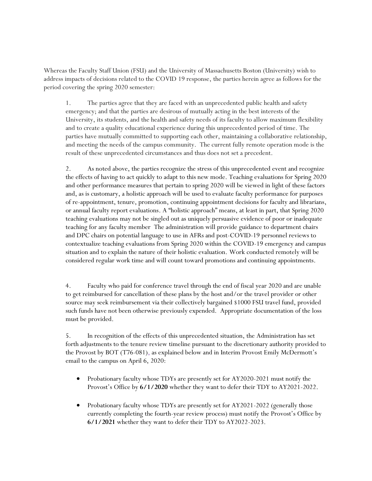Whereas the Faculty Staff Union (FSU) and the University of Massachusetts Boston (University) wish to address impacts of decisions related to the COVID 19 response, the parties herein agree as follows for the period covering the spring 2020 semester:

1. The parties agree that they are faced with an unprecedented public health and safety emergency; and that the parties are desirous of mutually acting in the best interests of the University, its students, and the health and safety needs of its faculty to allow maximum flexibility and to create a quality educational experience during this unprecedented period of time. The parties have mutually committed to supporting each other, maintaining a collaborative relationship, and meeting the needs of the campus community. The current fully remote operation mode is the result of these unprecedented circumstances and thus does not set a precedent.

2. As noted above, the parties recognize the stress of this unprecedented event and recognize the effects of having to act quickly to adapt to this new mode. Teaching evaluations for Spring 2020 and other performance measures that pertain to spring 2020 will be viewed in light of these factors and, as is customary, a holistic approach will be used to evaluate faculty performance for purposes of re-appointment, tenure, promotion, continuing appointment decisions for faculty and librarians, or annual faculty report evaluations. A "holistic approach" means, at least in part, that Spring 2020 teaching evaluations may not be singled out as uniquely persuasive evidence of poor or inadequate teaching for any faculty member The administration will provide guidance to department chairs and DPC chairs on potential language to use in AFRs and post-COVID-19 personnel reviews to contextualize teaching evaluations from Spring 2020 within the COVID-19 emergency and campus situation and to explain the nature of their holistic evaluation. Work conducted remotely will be considered regular work time and will count toward promotions and continuing appointments.

4. Faculty who paid for conference travel through the end of fiscal year 2020 and are unable to get reimbursed for cancellation of these plans by the host and/or the travel provider or other source may seek reimbursement via their collectively bargained \$1000 FSU travel fund, provided such funds have not been otherwise previously expended. Appropriate documentation of the loss must be provided.

5. In recognition of the effects of this unprecedented situation, the Administration has set forth adjustments to the tenure review timeline pursuant to the discretionary authority provided to the Provost by BOT (T76-081), as explained below and in Interim Provost Emily McDermott's email to the campus on April 6, 2020:

- Probationary faculty whose TDYs are presently set for AY2020-2021 must notify the Provost's Office by **6/1/2020** whether they want to defer their TDY to AY2021-2022.
- Probationary faculty whose TDYs are presently set for AY2021-2022 (generally those currently completing the fourth-year review process) must notify the Provost's Office by **6/1/2021** whether they want to defer their TDY to AY2022-2023.